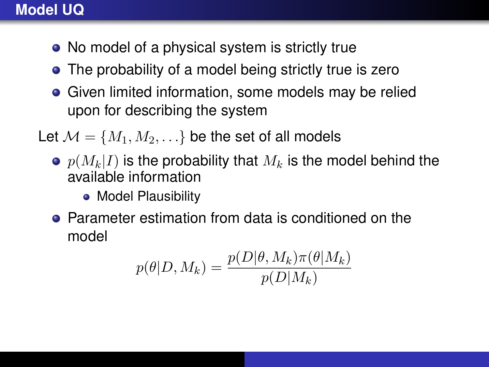## **Model UQ**

- No model of a physical system is strictly true
- The probability of a model being strictly true is zero
- **•** Given limited information, some models may be relied upon for describing the system

Let  $\mathcal{M} = \{M_1, M_2, \ldots\}$  be the set of all models

- $\bullet$   $p(M_k|I)$  is the probability that  $M_k$  is the model behind the available information
	- Model Plausibility
- **•** Parameter estimation from data is conditioned on the model

$$
p(\theta|D, M_k) = \frac{p(D|\theta, M_k)\pi(\theta|M_k)}{p(D|M_k)}
$$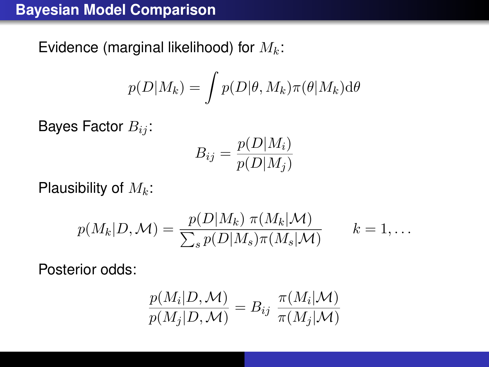## **Bayesian Model Comparison**

Evidence (marginal likelihood) for  $M_k$ :

$$
p(D|M_k) = \int p(D|\theta, M_k) \pi(\theta|M_k) d\theta
$$

Bayes Factor  $B_{ij}$ :

$$
B_{ij} = \frac{p(D|M_i)}{p(D|M_j)}
$$

Plausibility of  $M_k$ :

$$
p(M_k|D, \mathcal{M}) = \frac{p(D|M_k) \ \pi(M_k|\mathcal{M})}{\sum_s p(D|M_s) \pi(M_s|\mathcal{M})} \qquad k = 1, \dots
$$

Posterior odds:

$$
\frac{p(M_i|D, \mathcal{M})}{p(M_j|D, \mathcal{M})} = B_{ij} \frac{\pi(M_i|\mathcal{M})}{\pi(M_j|\mathcal{M})}
$$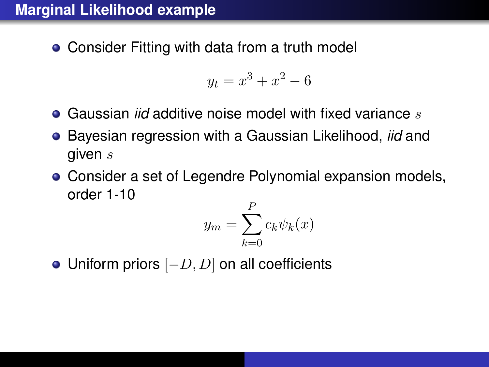# **Marginal Likelihood example**

Consider Fitting with data from a truth model

$$
y_t = x^3 + x^2 - 6
$$

- **Gaussian** *iid* **additive noise model with fixed variance s**
- Bayesian regression with a Gaussian Likelihood, *iid* and given s
- Consider a set of Legendre Polynomial expansion models, order 1-10

$$
y_m = \sum_{k=0}^{P} c_k \psi_k(x)
$$

• Uniform priors  $[-D, D]$  on all coefficients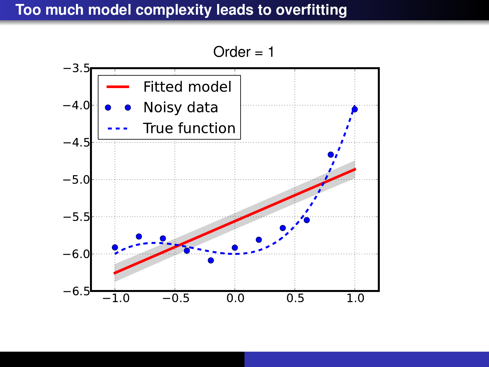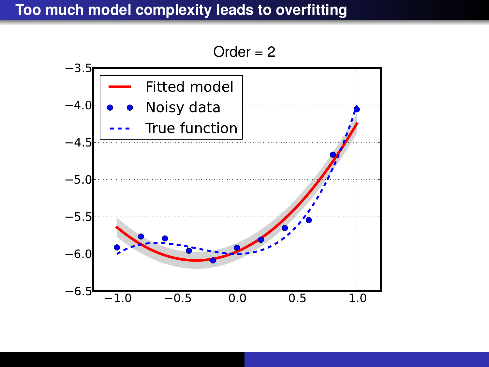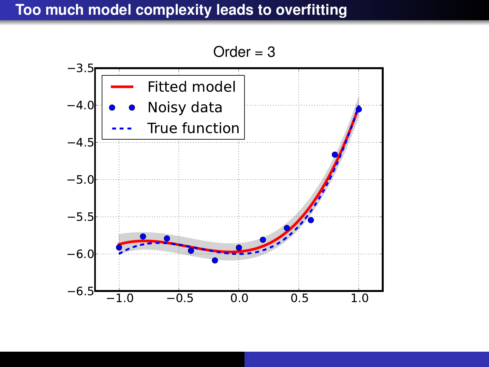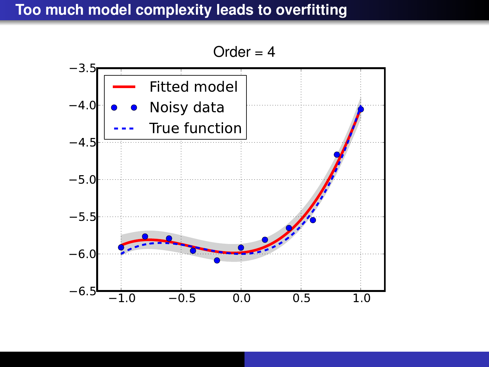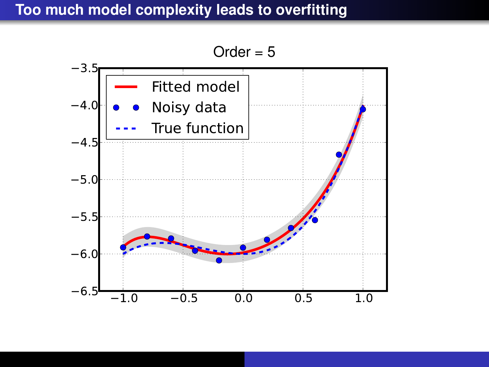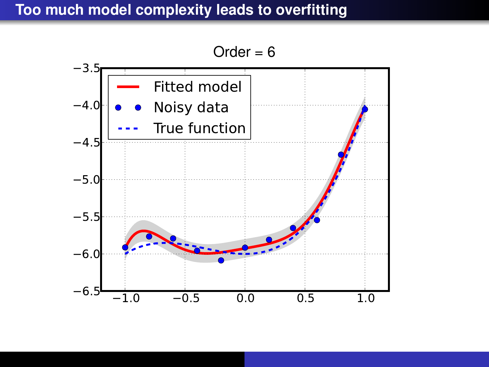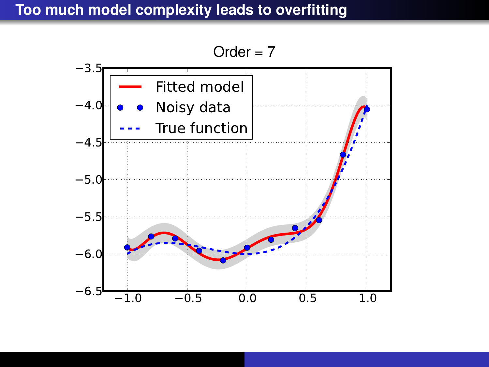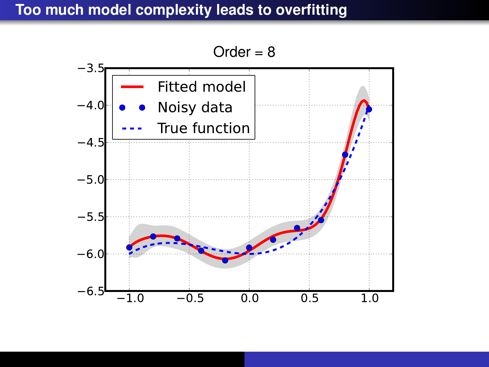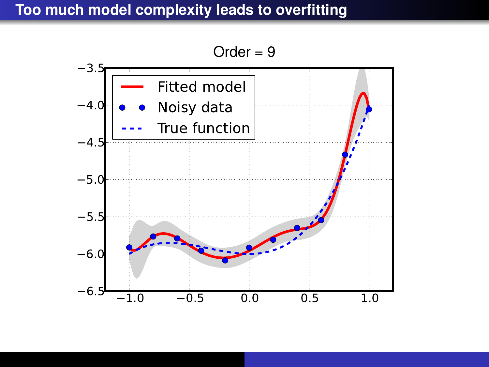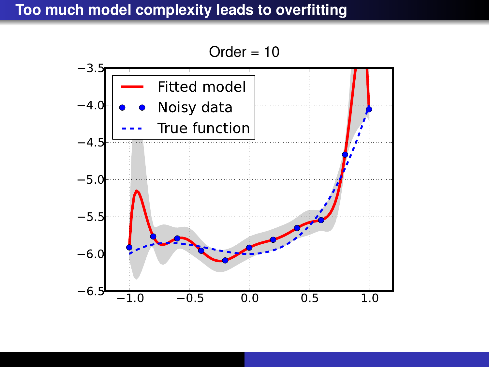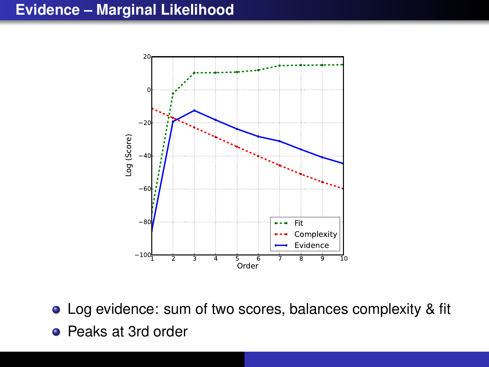# **Evidence – Marginal Likelihood**



Log evidence: sum of two scores, balances complexity & fit

• Peaks at 3rd order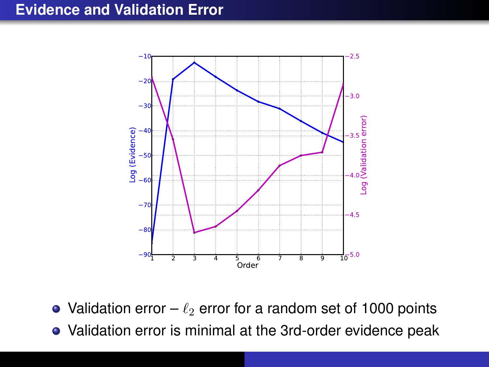#### **Evidence and Validation Error**



- Validation error  $\ell_2$  error for a random set of 1000 points
- Validation error is minimal at the 3rd-order evidence peak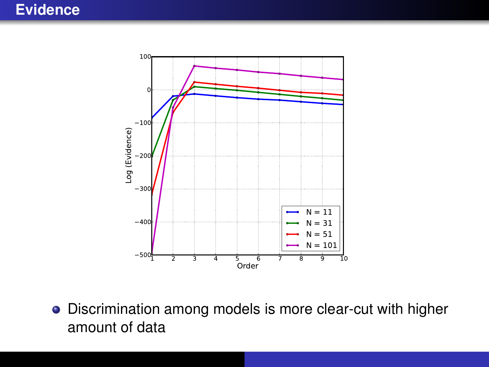#### **Evidence**



Discrimination among models is more clear-cut with higher amount of data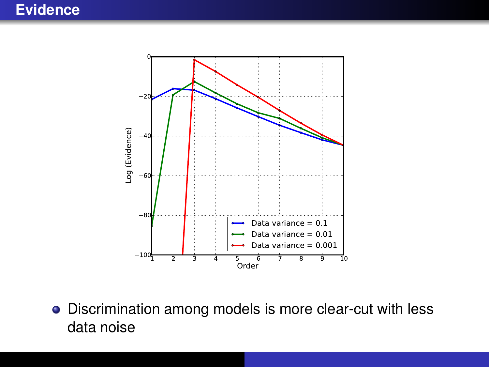

Discrimination among models is more clear-cut with less data noise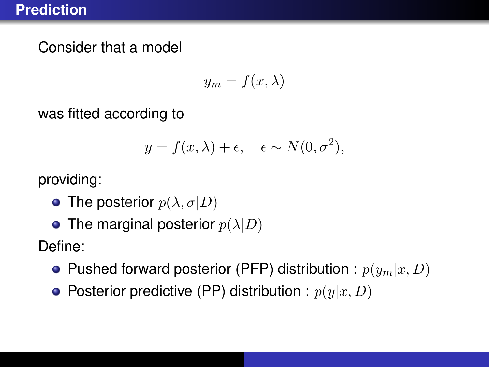Consider that a model

$$
y_m = f(x, \lambda)
$$

was fitted according to

$$
y = f(x, \lambda) + \epsilon, \quad \epsilon \sim N(0, \sigma^2),
$$

providing:

- The posterior  $p(\lambda, \sigma | D)$
- The marginal posterior  $p(\lambda|D)$

Define:

- Pushed forward posterior (PFP) distribution :  $p(y_m|x, D)$
- Posterior predictive (PP) distribution :  $p(y|x, D)$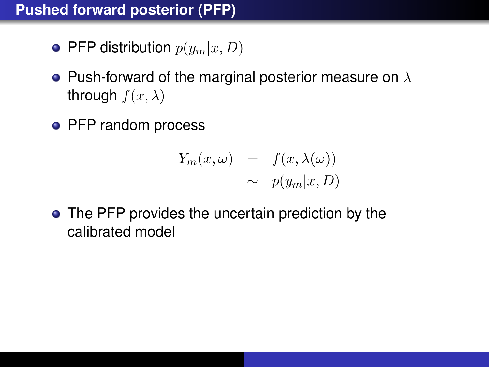# **Pushed forward posterior (PFP)**

- PFP distribution  $p(y_m|x, D)$
- Push-forward of the marginal posterior measure on  $\lambda$ through  $f(x, \lambda)$
- PFP random process

$$
Y_m(x, \omega) = f(x, \lambda(\omega))
$$
  

$$
\sim p(y_m|x, D)
$$

• The PFP provides the uncertain prediction by the calibrated model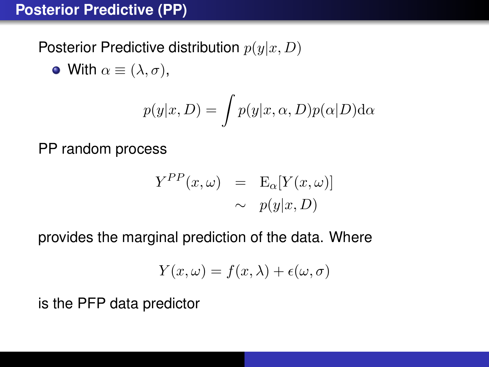# **Posterior Predictive (PP)**

Posterior Predictive distribution  $p(y|x, D)$ 

• With  $\alpha \equiv (\lambda, \sigma)$ ,

$$
p(y|x, D) = \int p(y|x, \alpha, D)p(\alpha|D) d\alpha
$$

PP random process

$$
Y^{PP}(x,\omega) = \mathbf{E}_{\alpha}[Y(x,\omega)]
$$
  

$$
\sim p(y|x,D)
$$

provides the marginal prediction of the data. Where

$$
Y(x,\omega)=f(x,\lambda)+\epsilon(\omega,\sigma)
$$

is the PFP data predictor